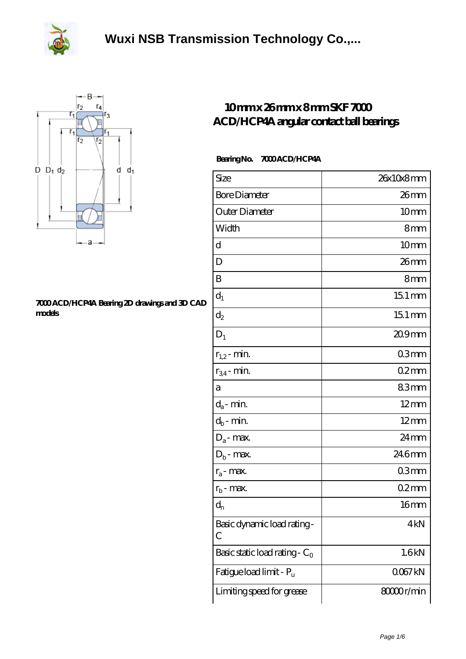



## **[7000 ACD/HCP4A Bearing 2D drawings and 3D CAD](https://herbal-circle.com/pic-371651.html) [models](https://herbal-circle.com/pic-371651.html)**

## **[10 mm x 26 mm x 8 mm SKF 7000](https://herbal-circle.com/skf-7000-acd-hcp4a-bearing/) [ACD/HCP4A angular contact ball bearings](https://herbal-circle.com/skf-7000-acd-hcp4a-bearing/)**

## Bearing No. 7000 ACD/HCP4A

| Size                             | 26x10x8mm           |
|----------------------------------|---------------------|
| <b>Bore Diameter</b>             | 26 <sub>mm</sub>    |
| Outer Diameter                   | 10 <sub>mm</sub>    |
| Width                            | 8mm                 |
| d                                | 10mm                |
| D                                | 26mm                |
| B                                | 8mm                 |
| $d_1$                            | $151 \,\mathrm{mm}$ |
| $\mathrm{d}_2$                   | $151 \,\mathrm{mm}$ |
| $D_1$                            | 20.9mm              |
| $r_{1,2}$ - min.                 | 03 <sub>mm</sub>    |
| $r_{34}$ - min.                  | $02$ mm             |
| а                                | 83mm                |
| $d_a$ - min.                     | $12 \text{mm}$      |
| $d_b$ - min.                     | $12 \text{mm}$      |
| $D_a$ - max.                     | 24mm                |
| $D_b$ - max.                     | 246mm               |
| $r_a$ - max.                     | 03mm                |
| $r_{b}$ - max.                   | $02$ mm             |
| $d_n$                            | 16 <sub>mm</sub>    |
| Basic dynamic load rating-<br>С  | 4kN                 |
| Basic static load rating - $C_0$ | 1.6kN               |
| Fatigue load limit - Pu          | 0067kN              |
| Limiting speed for grease        | 8000r/min           |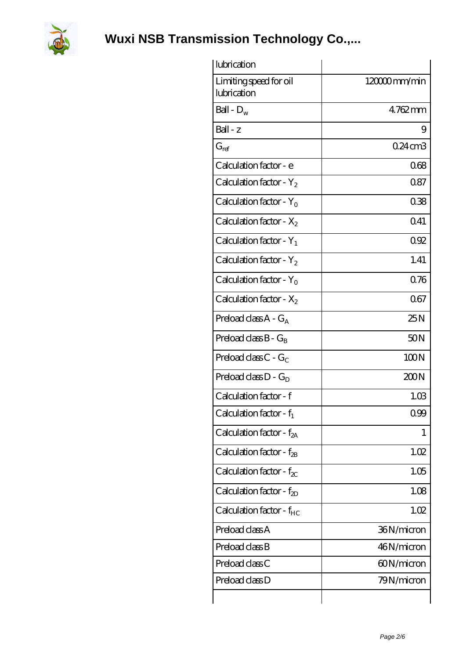

| lubrication                            |                 |
|----------------------------------------|-----------------|
| Limiting speed for oil<br>lubrication  | 120000mm/min    |
| Ball - $D_w$                           | $4762$ mm       |
| $Ball - z$                             | 9               |
| $G_{ref}$                              | $0.24$ cm $3$   |
| Calculation factor - e                 | 068             |
| Calculation factor - Y <sub>2</sub>    | 0.87            |
| Calculation factor - $Y_0$             | 038             |
| Calculation factor - $X_2$             | 0.41            |
| Calculation factor - $Y_1$             | 092             |
| Calculation factor - $Y_2$             | 1.41            |
| Calculation factor - $Y_0$             | 076             |
| Calculation factor - $X_2$             | 067             |
| Preload class $A - G_A$                | 25N             |
| Preload class $B - G_B$                | 50 <sub>N</sub> |
| Preload class $C - G_C$                | 100N            |
| Preload class $D - G_D$                | 200N            |
| Calculation factor - f                 | 1.03            |
| Calculation factor - $f_1$             | 0.99            |
| Calculation factor - $f_{2A}$          | 1               |
| Calculation factor - $f_{\mathcal{B}}$ | 1.02            |
| Calculation factor - $f_{\chi}$        | 1.05            |
| Calculation factor - $f_{2D}$          | 1.08            |
| Calculation factor - $f_{HC}$          | 1.02            |
| Preload class A                        | 36N/micron      |
| Preload class B                        | 46N/micron      |
| Preload class C                        | 60N/micron      |
| Preload class D                        | 79N/micron      |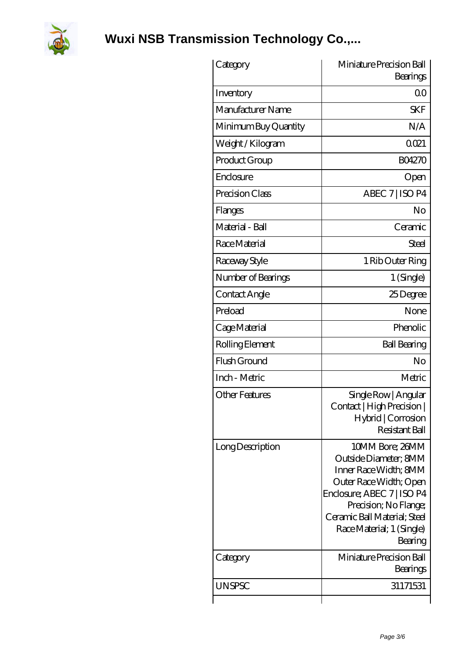

| Category              | Miniature Precision Ball<br>Bearings                                                                                                                                                                                       |
|-----------------------|----------------------------------------------------------------------------------------------------------------------------------------------------------------------------------------------------------------------------|
| Inventory             | 0 <sub>0</sub>                                                                                                                                                                                                             |
| Manufacturer Name     | <b>SKF</b>                                                                                                                                                                                                                 |
| Minimum Buy Quantity  | N/A                                                                                                                                                                                                                        |
| Weight/Kilogram       | 0021                                                                                                                                                                                                                       |
| Product Group         | <b>BO4270</b>                                                                                                                                                                                                              |
| Enclosure             | Open                                                                                                                                                                                                                       |
| Precision Class       | ABEC 7   ISO P4                                                                                                                                                                                                            |
| Flanges               | No                                                                                                                                                                                                                         |
| Material - Ball       | Ceramic                                                                                                                                                                                                                    |
| Race Material         | Steel                                                                                                                                                                                                                      |
| Raceway Style         | 1 Rib Outer Ring                                                                                                                                                                                                           |
| Number of Bearings    | 1 (Single)                                                                                                                                                                                                                 |
| Contact Angle         | 25Degree                                                                                                                                                                                                                   |
| Preload               | None                                                                                                                                                                                                                       |
| Cage Material         | Phenolic                                                                                                                                                                                                                   |
| Rolling Element       | <b>Ball Bearing</b>                                                                                                                                                                                                        |
| Flush Ground          | No                                                                                                                                                                                                                         |
| Inch - Metric         | Metric                                                                                                                                                                                                                     |
| <b>Other Features</b> | Single Row   Angular<br>Contact   High Precision  <br>Hybrid   Corrosion<br>Resistant Ball                                                                                                                                 |
| Long Description      | 10MM Bore; 26MM<br>Outside Diameter: 8MM<br>Inner Race Width; 8MM<br>Outer Race Width; Open<br>Enclosure; ABEC 7   ISO P4<br>Precision; No Flange;<br>Ceramic Ball Material; Steel<br>Race Material; 1 (Single)<br>Bearing |
| Category              | Miniature Precision Ball<br>Bearings                                                                                                                                                                                       |
| UNSPSC                | 31171531                                                                                                                                                                                                                   |
|                       |                                                                                                                                                                                                                            |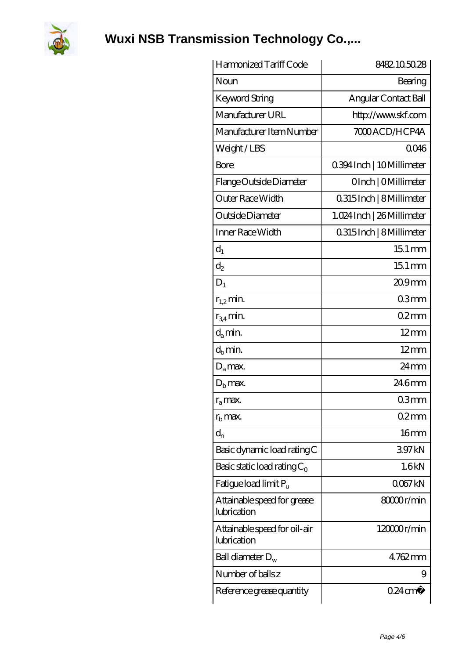

| Harmonized Tariff Code                      | 8482.105028                |
|---------------------------------------------|----------------------------|
| Noun                                        | Bearing                    |
| <b>Keyword String</b>                       | Angular Contact Ball       |
| Manufacturer URL                            | http://www.skf.com         |
| Manufacturer Item Number                    | 7000 ACD / HCP4A           |
| Weight/LBS                                  | 0046                       |
| Bore                                        | 0.394 Inch   10 Millimeter |
| Flange Outside Diameter                     | OInch   OMillimeter        |
| Outer Race Width                            | 0.315 Inch   8 Millimeter  |
| Outside Diameter                            | 1.024 Inch   26 Millimeter |
| Inner Race Width                            | 0.315 Inch   8 Millimeter  |
| $d_1$                                       | $151 \,\mathrm{mm}$        |
| $d_2$                                       | $151 \,\mathrm{mm}$        |
| $D_1$                                       | $209$ mm                   |
| $r_{1,2}$ min.                              | 03mm                       |
| $r_{34}$ min.                               | $02$ mm                    |
| $d_a$ min.                                  | $12 \text{mm}$             |
| $d_h$ min.                                  | $12 \text{mm}$             |
| $D_a$ max.                                  | $24 \,\mathrm{mm}$         |
| $D_{\rm b}$ max.                            | 246mm                      |
| $r_a$ max.                                  | 03mm                       |
| $r_{\rm b}$ max.                            | 02mm                       |
| $d_{n}$                                     | 16 <sub>mm</sub>           |
| Basic dynamic load rating C                 | 397kN                      |
| Basic static load rating $C_0$              | 1.6kN                      |
| Fatigue load limit $P_u$                    | 0067kN                     |
| Attainable speed for grease<br>lubrication  | 8000r/min                  |
| Attainable speed for oil-air<br>lubrication | 120000r/min                |
| Ball diameter $D_w$                         | $4762$ mm                  |
| Number of balls z                           | 9                          |
| Reference grease quantity                   | $0.24 \text{ cm}^3$        |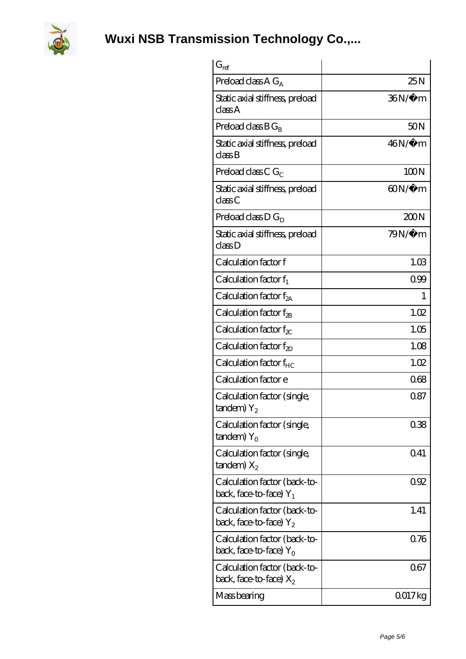

| $G_{ref}$                                                 |                    |
|-----------------------------------------------------------|--------------------|
| Preload class A $G_A$                                     | 25N                |
| Static axial stiffness, preload<br>classA                 | 36N/μ m            |
| Preload class $BG_R$                                      | 50 <sub>N</sub>    |
| Static axial stiffness, preload<br>classB                 | $46N/\mu$ m        |
| Preload class C $G_C$                                     | 100N               |
| Static axial stiffness, preload<br>classC                 | $\omega_{N/\mu}$ m |
| Preload class $D G_D$                                     | 200N               |
| Static axial stiffness, preload<br>classD                 | $79N/\mu$ m        |
| Calculation factor f                                      | 1.03               |
| Calculation factor $f_1$                                  | 099                |
| C alculation factor $f_{2A}$                              | 1                  |
| Calculation factor $f_{\rm 2B}$                           | 1.02               |
| Calculation factor $f_{\chi}$                             | 1.05               |
| Calculation factor $f_{2D}$                               | 1.08               |
| Calculation factor $f_{HC}$                               | 1.02               |
| Calculation factor e                                      | 068                |
| Calculation factor (single,<br>tandem) $Y_2$              | 0.87               |
| Calculation factor (single,<br>$t$ andem) $Y_{\Omega}$    | 038                |
| Calculation factor (single,<br>$t$ andem) $X_2$           | 0.41               |
| Calculation factor (back-to-<br>back, face-to-face) $Y_1$ | 0.92               |
| Calculation factor (back-to-<br>back, face-to-face) $Y_2$ | 1.41               |
| Calculation factor (back-to-<br>back, face-to-face) $Y_0$ | 0.76               |
| Calculation factor (back-to-<br>back, face-to-face) $X_2$ | 067                |
| Mass bearing                                              | 0017kg             |